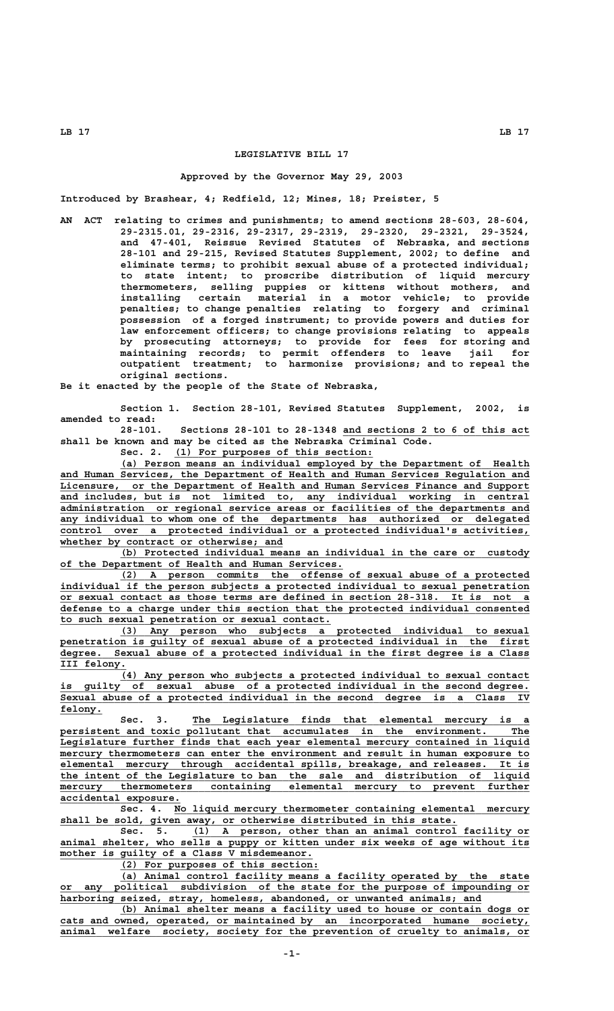## **LEGISLATIVE BILL 17**

## **Approved by the Governor May 29, 2003**

**Introduced by Brashear, 4; Redfield, 12; Mines, 18; Preister, 5**

**AN ACT relating to crimes and punishments; to amend sections 28-603, 28-604, 29-2315.01, 29-2316, 29-2317, 29-2319, 29-2320, 29-2321, 29-3524, and 47-401, Reissue Revised Statutes of Nebraska, and sections 28-101 and 29-215, Revised Statutes Supplement, 2002; to define and eliminate terms; to prohibit sexual abuse of a protected individual; to state intent; to proscribe distribution of liquid mercury thermometers, selling puppies or kittens without mothers, and installing certain material in a motor vehicle; to provide penalties; to change penalties relating to forgery and criminal possession of a forged instrument; to provide powers and duties for law enforcement officers; to change provisions relating to appeals by prosecuting attorneys; to provide for fees for storing and maintaining records; to permit offenders to leave jail for outpatient treatment; to harmonize provisions; and to repeal the original sections.**

**Be it enacted by the people of the State of Nebraska,**

**Section 1. Section 28-101, Revised Statutes Supplement, 2002, is amended to read:**

**28-101. Sections 28-101 to 28-1348 and sections 2 to 6 of this act \_\_\_\_\_\_\_\_\_\_\_\_\_\_\_\_\_\_\_\_\_\_\_\_\_\_\_\_\_\_\_ shall be known and may be cited as the Nebraska Criminal Code.**

Sec. 2. (1) For purposes of this section:

 **\_\_\_\_\_\_\_\_\_\_\_\_\_\_\_\_\_\_\_\_\_\_\_\_\_\_\_\_\_\_\_\_\_\_\_\_\_\_\_\_\_\_\_\_\_\_\_\_\_\_\_\_\_\_\_\_\_\_\_\_\_\_\_\_\_\_\_\_ (a) Person means an individual employed by the Department of Health \_\_\_\_\_\_\_\_\_\_\_\_\_\_\_\_\_\_\_\_\_\_\_\_\_\_\_\_\_\_\_\_\_\_\_\_\_\_\_\_\_\_\_\_\_\_\_\_\_\_\_\_\_\_\_\_\_\_\_\_\_\_\_\_\_\_\_\_\_\_\_\_\_\_\_\_\_\_ and Human Services, the Department of Health and Human Services Regulation and \_\_\_\_\_\_\_\_\_\_\_\_\_\_\_\_\_\_\_\_\_\_\_\_\_\_\_\_\_\_\_\_\_\_\_\_\_\_\_\_\_\_\_\_\_\_\_\_\_\_\_\_\_\_\_\_\_\_\_\_\_\_\_\_\_\_\_\_\_\_\_\_\_\_\_\_\_\_ Licensure, or the Department of Health and Human Services Finance and Support \_\_\_\_\_\_\_\_\_\_\_\_\_\_\_\_\_\_\_\_\_\_\_\_\_\_\_\_\_\_\_\_\_\_\_\_\_\_\_\_\_\_\_\_\_\_\_\_\_\_\_\_\_\_\_\_\_\_\_\_\_\_\_\_\_\_\_\_\_\_\_\_\_\_\_\_\_\_ and includes, but is not limited to, any individual working in central \_\_\_\_\_\_\_\_\_\_\_\_\_\_\_\_\_\_\_\_\_\_\_\_\_\_\_\_\_\_\_\_\_\_\_\_\_\_\_\_\_\_\_\_\_\_\_\_\_\_\_\_\_\_\_\_\_\_\_\_\_\_\_\_\_\_\_\_\_\_\_\_\_\_\_\_\_\_ administration or regional service areas or facilities of the departments and \_\_\_\_\_\_\_\_\_\_\_\_\_\_\_\_\_\_\_\_\_\_\_\_\_\_\_\_\_\_\_\_\_\_\_\_\_\_\_\_\_\_\_\_\_\_\_\_\_\_\_\_\_\_\_\_\_\_\_\_\_\_\_\_\_\_\_\_\_\_\_\_\_\_\_\_\_\_ any individual to whom one of the departments has authorized or delegated \_\_\_\_\_\_\_\_\_\_\_\_\_\_\_\_\_\_\_\_\_\_\_\_\_\_\_\_\_\_\_\_\_\_\_\_\_\_\_\_\_\_\_\_\_\_\_\_\_\_\_\_\_\_\_\_\_\_\_\_\_\_\_\_\_\_\_\_\_\_\_\_\_\_\_\_\_\_ control over a protected individual or a protected individual's activities, \_\_\_\_\_\_\_\_\_\_\_\_\_\_\_\_\_\_\_\_\_\_\_\_\_\_\_\_\_\_\_\_\_\_\_\_\_ whether by contract or otherwise; and**

 **\_\_\_\_\_\_\_\_\_\_\_\_\_\_\_\_\_\_\_\_\_\_\_\_\_\_\_\_\_\_\_\_\_\_\_\_\_\_\_\_\_\_\_\_\_\_\_\_\_\_\_\_\_\_\_\_\_\_\_\_\_\_\_\_\_\_\_\_ (b) Protected individual means an individual in the care or custody \_\_\_\_\_\_\_\_\_\_\_\_\_\_\_\_\_\_\_\_\_\_\_\_\_\_\_\_\_\_\_\_\_\_\_\_\_\_\_\_\_\_\_\_\_\_\_ of the Department of Health and Human Services.**

 **\_\_\_\_\_\_\_\_\_\_\_\_\_\_\_\_\_\_\_\_\_\_\_\_\_\_\_\_\_\_\_\_\_\_\_\_\_\_\_\_\_\_\_\_\_\_\_\_\_\_\_\_\_\_\_\_\_\_\_\_\_\_\_\_\_\_\_\_ (2) A person commits the offense of sexual abuse of a protected \_\_\_\_\_\_\_\_\_\_\_\_\_\_\_\_\_\_\_\_\_\_\_\_\_\_\_\_\_\_\_\_\_\_\_\_\_\_\_\_\_\_\_\_\_\_\_\_\_\_\_\_\_\_\_\_\_\_\_\_\_\_\_\_\_\_\_\_\_\_\_\_\_\_\_\_\_\_ individual if the person subjects a protected individual to sexual penetration \_\_\_\_\_\_\_\_\_\_\_\_\_\_\_\_\_\_\_\_\_\_\_\_\_\_\_\_\_\_\_\_\_\_\_\_\_\_\_\_\_\_\_\_\_\_\_\_\_\_\_\_\_\_\_\_\_\_\_\_\_\_\_\_\_\_\_\_\_\_\_\_\_\_\_\_\_\_ or sexual contact as those terms are defined in section 28-318. It is not a \_\_\_\_\_\_\_\_\_\_\_\_\_\_\_\_\_\_\_\_\_\_\_\_\_\_\_\_\_\_\_\_\_\_\_\_\_\_\_\_\_\_\_\_\_\_\_\_\_\_\_\_\_\_\_\_\_\_\_\_\_\_\_\_\_\_\_\_\_\_\_\_\_\_\_\_\_\_ defense to a charge under this section that the protected individual consented \_\_\_\_\_\_\_\_\_\_\_\_\_\_\_\_\_\_\_\_\_\_\_\_\_\_\_\_\_\_\_\_\_\_\_\_\_\_\_\_\_\_\_\_\_ to such sexual penetration or sexual contact.**

 **\_\_\_\_\_\_\_\_\_\_\_\_\_\_\_\_\_\_\_\_\_\_\_\_\_\_\_\_\_\_\_\_\_\_\_\_\_\_\_\_\_\_\_\_\_\_\_\_\_\_\_\_\_\_\_\_\_\_\_\_\_\_\_\_\_\_\_\_ (3) Any person who subjects a protected individual to sexual \_\_\_\_\_\_\_\_\_\_\_\_\_\_\_\_\_\_\_\_\_\_\_\_\_\_\_\_\_\_\_\_\_\_\_\_\_\_\_\_\_\_\_\_\_\_\_\_\_\_\_\_\_\_\_\_\_\_\_\_\_\_\_\_\_\_\_\_\_\_\_\_\_\_\_\_\_\_ penetration is guilty of sexual abuse of a protected individual in the first \_\_\_\_\_\_\_\_\_\_\_\_\_\_\_\_\_\_\_\_\_\_\_\_\_\_\_\_\_\_\_\_\_\_\_\_\_\_\_\_\_\_\_\_\_\_\_\_\_\_\_\_\_\_\_\_\_\_\_\_\_\_\_\_\_\_\_\_\_\_\_\_\_\_\_\_\_\_ degree. Sexual abuse of a protected individual in the first degree is a Class** III felony.

 **\_\_\_\_\_\_\_\_\_\_\_\_\_\_\_\_\_\_\_\_\_\_\_\_\_\_\_\_\_\_\_\_\_\_\_\_\_\_\_\_\_\_\_\_\_\_\_\_\_\_\_\_\_\_\_\_\_\_\_\_\_\_\_\_\_\_\_\_ (4) Any person who subjects a protected individual to sexual contact \_\_\_\_\_\_\_\_\_\_\_\_\_\_\_\_\_\_\_\_\_\_\_\_\_\_\_\_\_\_\_\_\_\_\_\_\_\_\_\_\_\_\_\_\_\_\_\_\_\_\_\_\_\_\_\_\_\_\_\_\_\_\_\_\_\_\_\_\_\_\_\_\_\_\_\_\_\_ is guilty of sexual abuse of a protected individual in the second degree. \_\_\_\_\_\_\_\_\_\_\_\_\_\_\_\_\_\_\_\_\_\_\_\_\_\_\_\_\_\_\_\_\_\_\_\_\_\_\_\_\_\_\_\_\_\_\_\_\_\_\_\_\_\_\_\_\_\_\_\_\_\_\_\_\_\_\_\_\_\_\_\_\_\_\_\_\_\_ Sexual abuse of a protected individual in the second degree is a Class IV** felony.

Sec. 3. The Legislature finds that elemental mercury is a  **\_\_\_\_\_\_\_\_\_\_\_\_\_\_\_\_\_\_\_\_\_\_\_\_\_\_\_\_\_\_\_\_\_\_\_\_\_\_\_\_\_\_\_\_\_\_\_\_\_\_\_\_\_\_\_\_\_\_\_\_\_\_\_\_\_\_\_\_\_\_\_\_\_\_\_\_\_\_ persistent and toxic pollutant that accumulates in the environment. The \_\_\_\_\_\_\_\_\_\_\_\_\_\_\_\_\_\_\_\_\_\_\_\_\_\_\_\_\_\_\_\_\_\_\_\_\_\_\_\_\_\_\_\_\_\_\_\_\_\_\_\_\_\_\_\_\_\_\_\_\_\_\_\_\_\_\_\_\_\_\_\_\_\_\_\_\_\_ Legislature further finds that each year elemental mercury contained in liquid \_\_\_\_\_\_\_\_\_\_\_\_\_\_\_\_\_\_\_\_\_\_\_\_\_\_\_\_\_\_\_\_\_\_\_\_\_\_\_\_\_\_\_\_\_\_\_\_\_\_\_\_\_\_\_\_\_\_\_\_\_\_\_\_\_\_\_\_\_\_\_\_\_\_\_\_\_\_ mercury thermometers can enter the environment and result in human exposure to \_\_\_\_\_\_\_\_\_\_\_\_\_\_\_\_\_\_\_\_\_\_\_\_\_\_\_\_\_\_\_\_\_\_\_\_\_\_\_\_\_\_\_\_\_\_\_\_\_\_\_\_\_\_\_\_\_\_\_\_\_\_\_\_\_\_\_\_\_\_\_\_\_\_\_\_\_\_ elemental mercury through accidental spills, breakage, and releases. It is \_\_\_\_\_\_\_\_\_\_\_\_\_\_\_\_\_\_\_\_\_\_\_\_\_\_\_\_\_\_\_\_\_\_\_\_\_\_\_\_\_\_\_\_\_\_\_\_\_\_\_\_\_\_\_\_\_\_\_\_\_\_\_\_\_\_\_\_\_\_\_\_\_\_\_\_\_\_ the intent of the Legislature to ban the sale and distribution of liquid**  $m$ ercury thermometers containing elemental mercury to prevent further  **accidental exposure. \_\_\_\_\_\_\_\_\_\_\_\_\_\_\_\_\_\_\_\_**

 **\_\_\_\_\_\_\_\_\_\_\_\_\_\_\_\_\_\_\_\_\_\_\_\_\_\_\_\_\_\_\_\_\_\_\_\_\_\_\_\_\_\_\_\_\_\_\_\_\_\_\_\_\_\_\_\_\_\_\_ Sec. 4. No liquid mercury thermometer containing elemental mercury \_\_\_\_\_\_\_\_\_\_\_\_\_\_\_\_\_\_\_\_\_\_\_\_\_\_\_\_\_\_\_\_\_\_\_\_\_\_\_\_\_\_\_\_\_\_\_\_\_\_\_\_\_\_\_\_\_\_\_\_\_\_\_\_\_\_ shall be sold, given away, or otherwise distributed in this state.**

Sec. 5. (1) A person, other than an animal control facility or  **\_\_\_\_\_\_\_\_\_\_\_\_\_\_\_\_\_\_\_\_\_\_\_\_\_\_\_\_\_\_\_\_\_\_\_\_\_\_\_\_\_\_\_\_\_\_\_\_\_\_\_\_\_\_\_\_\_\_\_\_\_\_\_\_\_\_\_\_\_\_\_\_\_\_\_\_\_\_ animal shelter, who sells a puppy or kitten under six weeks of age without its** mother is guilty of a Class V misdemeanor.

 **\_\_\_\_\_\_\_\_\_\_\_\_\_\_\_\_\_\_\_\_\_\_\_\_\_\_\_\_\_\_\_\_\_ (2) For purposes of this section:**

 **\_\_\_\_\_\_\_\_\_\_\_\_\_\_\_\_\_\_\_\_\_\_\_\_\_\_\_\_\_\_\_\_\_\_\_\_\_\_\_\_\_\_\_\_\_\_\_\_\_\_\_\_\_\_\_\_\_\_\_\_\_\_\_\_\_\_\_\_ (a) Animal control facility means a facility operated by the state \_\_\_\_\_\_\_\_\_\_\_\_\_\_\_\_\_\_\_\_\_\_\_\_\_\_\_\_\_\_\_\_\_\_\_\_\_\_\_\_\_\_\_\_\_\_\_\_\_\_\_\_\_\_\_\_\_\_\_\_\_\_\_\_\_\_\_\_\_\_\_\_\_\_\_\_\_\_ or any political subdivision of the state for the purpose of impounding or \_\_\_\_\_\_\_\_\_\_\_\_\_\_\_\_\_\_\_\_\_\_\_\_\_\_\_\_\_\_\_\_\_\_\_\_\_\_\_\_\_\_\_\_\_\_\_\_\_\_\_\_\_\_\_\_\_\_\_\_\_\_\_\_\_\_\_\_\_\_ harboring seized, stray, homeless, abandoned, or unwanted animals; and**

 **\_\_\_\_\_\_\_\_\_\_\_\_\_\_\_\_\_\_\_\_\_\_\_\_\_\_\_\_\_\_\_\_\_\_\_\_\_\_\_\_\_\_\_\_\_\_\_\_\_\_\_\_\_\_\_\_\_\_\_\_\_\_\_\_\_\_\_\_ (b) Animal shelter means a facility used to house or contain dogs or** cats and owned, operated, or maintained by an incorporated humane society,  **\_\_\_\_\_\_\_\_\_\_\_\_\_\_\_\_\_\_\_\_\_\_\_\_\_\_\_\_\_\_\_\_\_\_\_\_\_\_\_\_\_\_\_\_\_\_\_\_\_\_\_\_\_\_\_\_\_\_\_\_\_\_\_\_\_\_\_\_\_\_\_\_\_\_\_\_\_\_ animal welfare society, society for the prevention of cruelty to animals, or**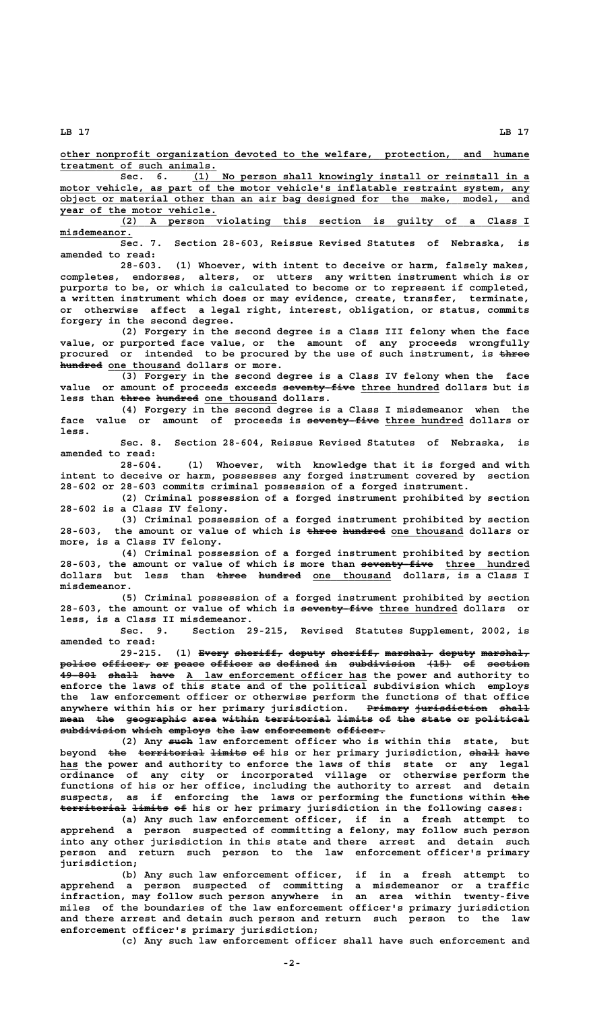**\_\_\_\_\_\_\_\_\_\_\_\_\_\_\_\_\_\_\_\_\_\_\_\_\_\_\_\_\_\_\_\_\_\_\_\_\_\_\_\_\_\_\_\_\_\_\_\_\_\_\_\_\_\_\_\_\_\_\_\_\_\_\_\_\_\_\_\_\_\_\_\_\_\_\_\_\_\_ other nonprofit organization devoted to the welfare, protection, and humane \_\_\_\_\_\_\_\_\_\_\_\_\_\_\_\_\_\_\_\_\_\_\_\_\_\_ treatment of such animals.**

 **\_\_\_\_\_\_\_\_\_\_\_\_\_\_\_\_\_\_\_\_\_\_\_\_\_\_\_\_\_\_\_\_\_\_\_\_\_\_\_\_\_\_\_\_\_\_\_\_\_\_\_\_\_\_\_\_ Sec. 6. (1) No person shall knowingly install or reinstall in a \_\_\_\_\_\_\_\_\_\_\_\_\_\_\_\_\_\_\_\_\_\_\_\_\_\_\_\_\_\_\_\_\_\_\_\_\_\_\_\_\_\_\_\_\_\_\_\_\_\_\_\_\_\_\_\_\_\_\_\_\_\_\_\_\_\_\_\_\_\_\_\_\_\_\_\_\_\_ motor vehicle, as part of the motor vehicle's inflatable restraint system, any \_\_\_\_\_\_\_\_\_\_\_\_\_\_\_\_\_\_\_\_\_\_\_\_\_\_\_\_\_\_\_\_\_\_\_\_\_\_\_\_\_\_\_\_\_\_\_\_\_\_\_\_\_\_\_\_\_\_\_\_\_\_\_\_\_\_\_\_\_\_\_\_\_\_\_\_\_\_ object or material other than an air bag designed for the make, model, and \_\_\_\_\_\_\_\_\_\_\_\_\_\_\_\_\_\_\_\_\_\_\_\_\_\_ year of the motor vehicle.**

 **\_\_\_\_\_\_\_\_\_\_\_\_\_\_\_\_\_\_\_\_\_\_\_\_\_\_\_\_\_\_\_\_\_\_\_\_\_\_\_\_\_\_\_\_\_\_\_\_\_\_\_\_\_\_\_\_\_\_\_\_\_\_\_\_\_\_\_\_ (2) A person violating this section is guilty of a Class I misdemeanor. \_\_\_\_\_\_\_\_\_\_\_\_**

**Sec. 7. Section 28-603, Reissue Revised Statutes of Nebraska, is amended to read:**

**28-603. (1) Whoever, with intent to deceive or harm, falsely makes, completes, endorses, alters, or utters any written instrument which is or purports to be, or which is calculated to become or to represent if completed, a written instrument which does or may evidence, create, transfer, terminate, or otherwise affect a legal right, interest, obligation, or status, commits forgery in the second degree.**

**(2) Forgery in the second degree is a Class III felony when the face value, or purported face value, or the amount of any proceeds wrongfully procured or intended to be procured by the use of such instrument, is three ————** hundred one thousand dollars or more.

**(3) Forgery in the second degree is a Class IV felony when the face** value or amount of proceeds exceeds seventy five three hundred dollars but is less than three hundred one thousand dollars.

**(4) Forgery in the second degree is a Class I misdemeanor when the** face value or amount of proceeds is seventy five three hundred dollars or  **less.**

**Sec. 8. Section 28-604, Reissue Revised Statutes of Nebraska, is amended to read:**

**28-604. (1) Whoever, with knowledge that it is forged and with intent to deceive or harm, possesses any forged instrument covered by section 28-602 or 28-603 commits criminal possession of a forged instrument.**

**(2) Criminal possession of a forged instrument prohibited by section 28-602 is a Class IV felony.**

**(3) Criminal possession of a forged instrument prohibited by section** 28-603, the amount or value of which is three hundred one thousand dollars or **more, is a Class IV felony.**

**(4) Criminal possession of a forged instrument prohibited by section** 28-603, the amount or value of which is more than seventy five three hundred dollars but less than <del>three hundred</del> one thousand dollars, is a Class I  **misdemeanor.**

**(5) Criminal possession of a forged instrument prohibited by section ———————————— \_\_\_\_\_\_\_\_\_\_\_\_\_ 28-603, the amount or value of which is seventy-five three hundred dollars or less, is a Class II misdemeanor.**

**Sec. 9. Section 29-215, Revised Statutes Supplement, 2002, is amended to read:**

29-215. (1) Every sheriff, deputy sheriff, marshal, deputy marshal,  $\texttt{policy}$  officer, or peace officer as defined in subdivision  $\{15\}$  of section **49-801 shall have A law enforcement officer has the power and authority to enforce the laws of this state and of the political subdivision which employs the law enforcement officer or otherwise perform the functions of that office** anywhere within his or her primary jurisdiction. Primary jurisdiction shall mean the geographic area within territorial limits of the state or political subdivision which employs the law enforcement officer.

(2) Any such law enforcement officer who is within this state, but beyond the territorial limits of his or her primary jurisdiction, shall have  **\_\_\_ has the power and authority to enforce the laws of this state or any legal ordinance of any city or incorporated village or otherwise perform the functions of his or her office, including the authority to arrest and detain** suspects, as if enforcing the laws or performing the functions within the **territorial limits of his or her primary jurisdiction in the following cases: ——————————— —————— ——**

**(a) Any such law enforcement officer, if in a fresh attempt to apprehend a person suspected of committing a felony, may follow such person into any other jurisdiction in this state and there arrest and detain such person and return such person to the law enforcement officer's primary jurisdiction;**

**(b) Any such law enforcement officer, if in a fresh attempt to apprehend a person suspected of committing a misdemeanor or a traffic infraction, may follow such person anywhere in an area within twenty-five miles of the boundaries of the law enforcement officer's primary jurisdiction and there arrest and detain such person and return such person to the law enforcement officer's primary jurisdiction;**

**(c) Any such law enforcement officer shall have such enforcement and**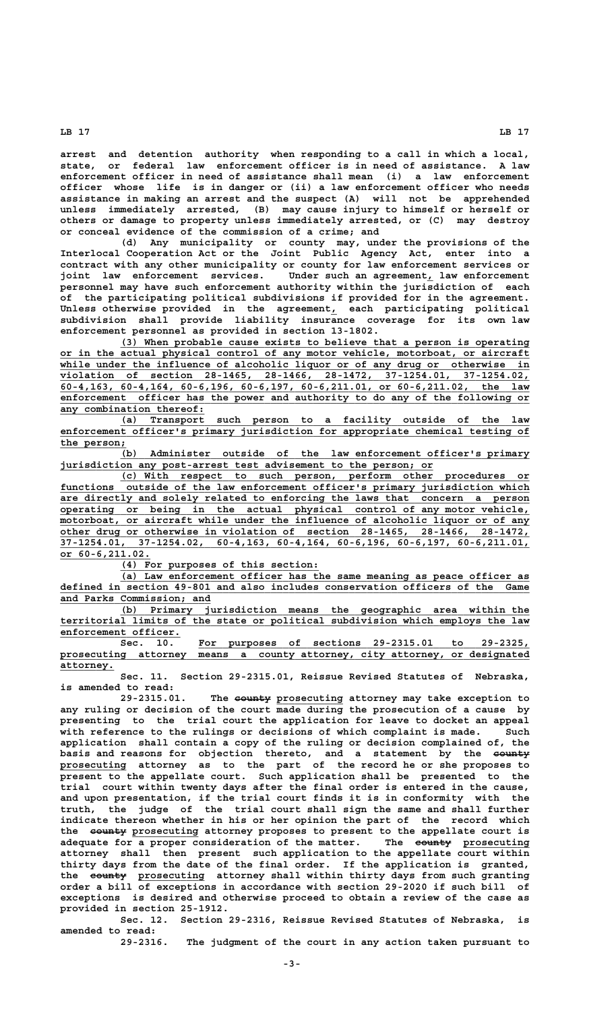**arrest and detention authority when responding to a call in which a local, state, or federal law enforcement officer is in need of assistance. A law enforcement officer in need of assistance shall mean (i) a law enforcement officer whose life is in danger or (ii) a law enforcement officer who needs assistance in making an arrest and the suspect (A) will not be apprehended unless immediately arrested, (B) may cause injury to himself or herself or others or damage to property unless immediately arrested, or (C) may destroy or conceal evidence of the commission of a crime; and**

**(d) Any municipality or county may, under the provisions of the Interlocal Cooperation Act or the Joint Public Agency Act, enter into a contract with any other municipality or county for law enforcement services or joint law enforcement services. Under such an agreement, law enforcement \_ personnel may have such enforcement authority within the jurisdiction of each of the participating political subdivisions if provided for in the agreement. Unless otherwise provided in the agreement, each participating political \_ subdivision shall provide liability insurance coverage for its own law enforcement personnel as provided in section 13-1802.**

 **\_\_\_\_\_\_\_\_\_\_\_\_\_\_\_\_\_\_\_\_\_\_\_\_\_\_\_\_\_\_\_\_\_\_\_\_\_\_\_\_\_\_\_\_\_\_\_\_\_\_\_\_\_\_\_\_\_\_\_\_\_\_\_\_\_\_\_\_ (3) When probable cause exists to believe that a person is operating \_\_\_\_\_\_\_\_\_\_\_\_\_\_\_\_\_\_\_\_\_\_\_\_\_\_\_\_\_\_\_\_\_\_\_\_\_\_\_\_\_\_\_\_\_\_\_\_\_\_\_\_\_\_\_\_\_\_\_\_\_\_\_\_\_\_\_\_\_\_\_\_\_\_\_\_\_\_ or in the actual physical control of any motor vehicle, motorboat, or aircraft** while under the influence of alcoholic liquor or of any drug or otherwise in violation of section 28-1465, 28-1466, 28-1472, 37-1254.01, 37-1254.02,  **\_\_\_\_\_\_\_\_\_\_\_\_\_\_\_\_\_\_\_\_\_\_\_\_\_\_\_\_\_\_\_\_\_\_\_\_\_\_\_\_\_\_\_\_\_\_\_\_\_\_\_\_\_\_\_\_\_\_\_\_\_\_\_\_\_\_\_\_\_\_\_\_\_\_\_\_\_\_ violation of section 28-1465, 28-1466, 28-1472, 37-1254.01, 37-1254.02, \_\_\_\_\_\_\_\_\_\_\_\_\_\_\_\_\_\_\_\_\_\_\_\_\_\_\_\_\_\_\_\_\_\_\_\_\_\_\_\_\_\_\_\_\_\_\_\_\_\_\_\_\_\_\_\_\_\_\_\_\_\_\_\_\_\_\_\_\_\_\_\_\_\_\_\_\_\_ 60-4,163, 60-4,164, 60-6,196, 60-6,197, 60-6,211.01, or 60-6,211.02, the law \_\_\_\_\_\_\_\_\_\_\_\_\_\_\_\_\_\_\_\_\_\_\_\_\_\_\_\_\_\_\_\_\_\_\_\_\_\_\_\_\_\_\_\_\_\_\_\_\_\_\_\_\_\_\_\_\_\_\_\_\_\_\_\_\_\_\_\_\_\_\_\_\_\_\_\_\_\_ enforcement officer has the power and authority to do any of the following or \_\_\_\_\_\_\_\_\_\_\_\_\_\_\_\_\_\_\_\_\_\_\_\_ any combination thereof:**

 **\_\_\_\_\_\_\_\_\_\_\_\_\_\_\_\_\_\_\_\_\_\_\_\_\_\_\_\_\_\_\_\_\_\_\_\_\_\_\_\_\_\_\_\_\_\_\_\_\_\_\_\_\_\_\_\_\_\_\_\_\_\_\_\_\_\_\_\_ (a) Transport such person to a facility outside of the law \_\_\_\_\_\_\_\_\_\_\_\_\_\_\_\_\_\_\_\_\_\_\_\_\_\_\_\_\_\_\_\_\_\_\_\_\_\_\_\_\_\_\_\_\_\_\_\_\_\_\_\_\_\_\_\_\_\_\_\_\_\_\_\_\_\_\_\_\_\_\_\_\_\_\_\_\_\_ enforcement officer's primary jurisdiction for appropriate chemical testing of** the person;

 **\_\_\_\_\_\_\_\_\_\_\_\_\_\_\_\_\_\_\_\_\_\_\_\_\_\_\_\_\_\_\_\_\_\_\_\_\_\_\_\_\_\_\_\_\_\_\_\_\_\_\_\_\_\_\_\_\_\_\_\_\_\_\_\_\_\_\_\_ (b) Administer outside of the law enforcement officer's primary \_\_\_\_\_\_\_\_\_\_\_\_\_\_\_\_\_\_\_\_\_\_\_\_\_\_\_\_\_\_\_\_\_\_\_\_\_\_\_\_\_\_\_\_\_\_\_\_\_\_\_\_\_\_\_\_\_\_\_\_\_\_ jurisdiction any post-arrest test advisement to the person; or**

 **\_\_\_\_\_\_\_\_\_\_\_\_\_\_\_\_\_\_\_\_\_\_\_\_\_\_\_\_\_\_\_\_\_\_\_\_\_\_\_\_\_\_\_\_\_\_\_\_\_\_\_\_\_\_\_\_\_\_\_\_\_\_\_\_\_\_\_\_ (c) With respect to such person, perform other procedures or \_\_\_\_\_\_\_\_\_\_\_\_\_\_\_\_\_\_\_\_\_\_\_\_\_\_\_\_\_\_\_\_\_\_\_\_\_\_\_\_\_\_\_\_\_\_\_\_\_\_\_\_\_\_\_\_\_\_\_\_\_\_\_\_\_\_\_\_\_\_\_\_\_\_\_\_\_\_ functions outside of the law enforcement officer's primary jurisdiction which \_\_\_\_\_\_\_\_\_\_\_\_\_\_\_\_\_\_\_\_\_\_\_\_\_\_\_\_\_\_\_\_\_\_\_\_\_\_\_\_\_\_\_\_\_\_\_\_\_\_\_\_\_\_\_\_\_\_\_\_\_\_\_\_\_\_\_\_\_\_\_\_\_\_\_\_\_\_ are directly and solely related to enforcing the laws that concern a person \_\_\_\_\_\_\_\_\_\_\_\_\_\_\_\_\_\_\_\_\_\_\_\_\_\_\_\_\_\_\_\_\_\_\_\_\_\_\_\_\_\_\_\_\_\_\_\_\_\_\_\_\_\_\_\_\_\_\_\_\_\_\_\_\_\_\_\_\_\_\_\_\_\_\_\_\_\_ operating or being in the actual physical control of any motor vehicle, \_\_\_\_\_\_\_\_\_\_\_\_\_\_\_\_\_\_\_\_\_\_\_\_\_\_\_\_\_\_\_\_\_\_\_\_\_\_\_\_\_\_\_\_\_\_\_\_\_\_\_\_\_\_\_\_\_\_\_\_\_\_\_\_\_\_\_\_\_\_\_\_\_\_\_\_\_\_ motorboat, or aircraft while under the influence of alcoholic liquor or of any \_\_\_\_\_\_\_\_\_\_\_\_\_\_\_\_\_\_\_\_\_\_\_\_\_\_\_\_\_\_\_\_\_\_\_\_\_\_\_\_\_\_\_\_\_\_\_\_\_\_\_\_\_\_\_\_\_\_\_\_\_\_\_\_\_\_\_\_\_\_\_\_\_\_\_\_\_\_ other drug or otherwise in violation of section 28-1465, 28-1466, 28-1472, \_\_\_\_\_\_\_\_\_\_\_\_\_\_\_\_\_\_\_\_\_\_\_\_\_\_\_\_\_\_\_\_\_\_\_\_\_\_\_\_\_\_\_\_\_\_\_\_\_\_\_\_\_\_\_\_\_\_\_\_\_\_\_\_\_\_\_\_\_\_\_\_\_\_\_\_\_\_ 37-1254.01, 37-1254.02, 60-4,163, 60-4,164, 60-6,196, 60-6,197, 60-6,211.01, or 60-6,211.02. \_\_\_\_\_\_\_\_\_\_\_\_\_\_\_**

 **\_\_\_\_\_\_\_\_\_\_\_\_\_\_\_\_\_\_\_\_\_\_\_\_\_\_\_\_\_\_\_\_\_ (4) For purposes of this section:**

 **\_\_\_\_\_\_\_\_\_\_\_\_\_\_\_\_\_\_\_\_\_\_\_\_\_\_\_\_\_\_\_\_\_\_\_\_\_\_\_\_\_\_\_\_\_\_\_\_\_\_\_\_\_\_\_\_\_\_\_\_\_\_\_\_\_\_\_\_ (a) Law enforcement officer has the same meaning as peace officer as \_\_\_\_\_\_\_\_\_\_\_\_\_\_\_\_\_\_\_\_\_\_\_\_\_\_\_\_\_\_\_\_\_\_\_\_\_\_\_\_\_\_\_\_\_\_\_\_\_\_\_\_\_\_\_\_\_\_\_\_\_\_\_\_\_\_\_\_\_\_\_\_\_\_\_\_\_\_ defined in section 49-801 and also includes conservation officers of the Game \_\_\_\_\_\_\_\_\_\_\_\_\_\_\_\_\_\_\_\_\_\_\_\_\_ and Parks Commission; and**

 **\_\_\_\_\_\_\_\_\_\_\_\_\_\_\_\_\_\_\_\_\_\_\_\_\_\_\_\_\_\_\_\_\_\_\_\_\_\_\_\_\_\_\_\_\_\_\_\_\_\_\_\_\_\_\_\_\_\_\_\_\_\_\_\_\_\_\_\_ (b) Primary jurisdiction means the geographic area within the \_\_\_\_\_\_\_\_\_\_\_\_\_\_\_\_\_\_\_\_\_\_\_\_\_\_\_\_\_\_\_\_\_\_\_\_\_\_\_\_\_\_\_\_\_\_\_\_\_\_\_\_\_\_\_\_\_\_\_\_\_\_\_\_\_\_\_\_\_\_\_\_\_\_\_\_\_\_ territorial limits of the state or political subdivision which employs the law** enforcement officer.

 **\_\_\_\_\_\_\_\_\_\_\_\_\_\_\_\_\_\_\_\_\_\_\_\_\_\_\_\_\_\_\_\_\_\_\_\_\_\_\_\_\_\_\_\_\_\_\_\_\_\_\_\_\_\_\_ Sec. 10. For purposes of sections 29-2315.01 to 29-2325, \_\_\_\_\_\_\_\_\_\_\_\_\_\_\_\_\_\_\_\_\_\_\_\_\_\_\_\_\_\_\_\_\_\_\_\_\_\_\_\_\_\_\_\_\_\_\_\_\_\_\_\_\_\_\_\_\_\_\_\_\_\_\_\_\_\_\_\_\_\_\_\_\_\_\_\_\_\_ prosecuting attorney means a county attorney, city attorney, or designated attorney. \_\_\_\_\_\_\_\_\_**

**Sec. 11. Section 29-2315.01, Reissue Revised Statutes of Nebraska, is amended to read:**

 **—————— \_\_\_\_\_\_\_\_\_\_\_ 29-2315.01. The county prosecuting attorney may take exception to any ruling or decision of the court made during the prosecution of a cause by presenting to the trial court the application for leave to docket an appeal with reference to the rulings or decisions of which complaint is made. Such application shall contain a copy of the ruling or decision complained of, the** basis and reasons for objection thereto, and a statement by the <del>county</del>  **\_\_\_\_\_\_\_\_\_\_\_ prosecuting attorney as to the part of the record he or she proposes to present to the appellate court. Such application shall be presented to the trial court within twenty days after the final order is entered in the cause, and upon presentation, if the trial court finds it is in conformity with the truth, the judge of the trial court shall sign the same and shall further indicate thereon whether in his or her opinion the part of the record which** the **eeunty** prosecuting attorney proposes to present to the appellate court is adequate for a proper consideration of the matter. The eounty prosecuting **attorney shall then present such application to the appellate court within thirty days from the date of the final order. If the application is granted,** the <del>county</del> prosecuting attorney shall within thirty days from such granting **order a bill of exceptions in accordance with section 29-2020 if such bill of exceptions is desired and otherwise proceed to obtain a review of the case as provided in section 25-1912.**

**Sec. 12. Section 29-2316, Reissue Revised Statutes of Nebraska, is amended to read:**

**29-2316. The judgment of the court in any action taken pursuant to**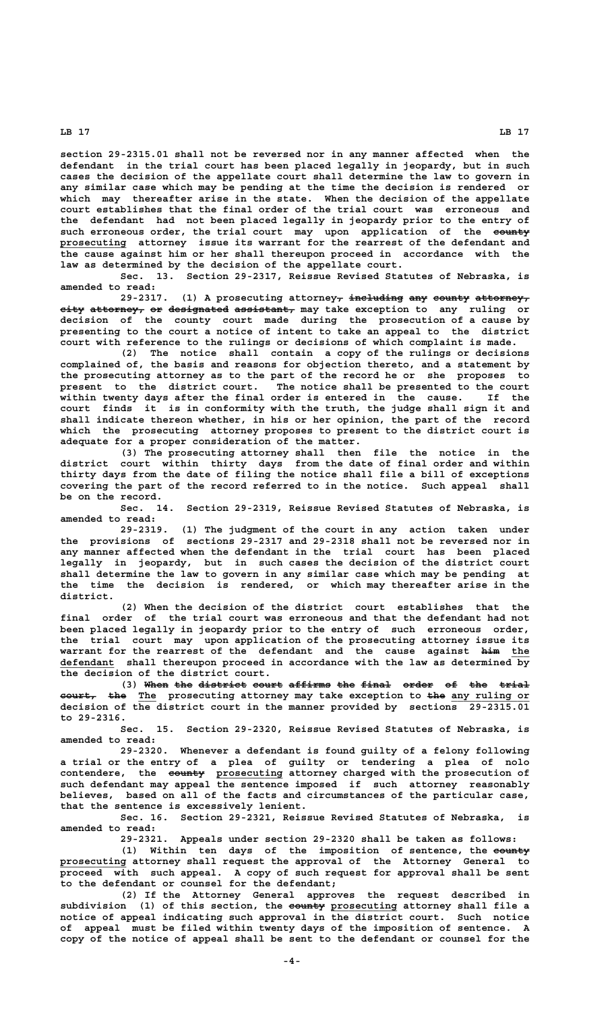**section 29-2315.01 shall not be reversed nor in any manner affected when the defendant in the trial court has been placed legally in jeopardy, but in such cases the decision of the appellate court shall determine the law to govern in any similar case which may be pending at the time the decision is rendered or which may thereafter arise in the state. When the decision of the appellate court establishes that the final order of the trial court was erroneous and the defendant had not been placed legally in jeopardy prior to the entry of** such erroneous order, the trial court may upon application of the eounty prosecuting attorney issue its warrant for the rearrest of the defendant and **the cause against him or her shall thereupon proceed in accordance with the law as determined by the decision of the appellate court.**

**Sec. 13. Section 29-2317, Reissue Revised Statutes of Nebraska, is amended to read:**

29-2317. (1) A prosecuting attorney<sub>7</sub> including any county attorney<sub>7</sub>  $\epsilon$ **ity attorney, or designated assistant,** may take exception to any ruling or **decision of the county court made during the prosecution of a cause by presenting to the court a notice of intent to take an appeal to the district court with reference to the rulings or decisions of which complaint is made.**

**(2) The notice shall contain a copy of the rulings or decisions complained of, the basis and reasons for objection thereto, and a statement by the prosecuting attorney as to the part of the record he or she proposes to present to the district court. The notice shall be presented to the court within twenty days after the final order is entered in the cause. If the court finds it is in conformity with the truth, the judge shall sign it and shall indicate thereon whether, in his or her opinion, the part of the record which the prosecuting attorney proposes to present to the district court is adequate for a proper consideration of the matter.**

**(3) The prosecuting attorney shall then file the notice in the district court within thirty days from the date of final order and within thirty days from the date of filing the notice shall file a bill of exceptions covering the part of the record referred to in the notice. Such appeal shall be on the record.**

**Sec. 14. Section 29-2319, Reissue Revised Statutes of Nebraska, is amended to read:**

**29-2319. (1) The judgment of the court in any action taken under the provisions of sections 29-2317 and 29-2318 shall not be reversed nor in any manner affected when the defendant in the trial court has been placed legally in jeopardy, but in such cases the decision of the district court shall determine the law to govern in any similar case which may be pending at the time the decision is rendered, or which may thereafter arise in the district.**

**(2) When the decision of the district court establishes that the final order of the trial court was erroneous and that the defendant had not been placed legally in jeopardy prior to the entry of such erroneous order, the trial court may upon application of the prosecuting attorney issue its warrant for the rearrest of the defendant and the cause against him the ——— \_\_\_ \_\_\_\_\_\_\_\_\_ defendant shall thereupon proceed in accordance with the law as determined by the decision of the district court.**

(3) When the district court affirms the final order of the trial **court,** the The prosecuting attorney may take exception to the any ruling or **decision of the district court in the manner provided by sections 29-2315.01 to 29-2316.**

**Sec. 15. Section 29-2320, Reissue Revised Statutes of Nebraska, is amended to read:**

**29-2320. Whenever a defendant is found guilty of a felony following a trial or the entry of a plea of guilty or tendering a plea of nolo —————— \_\_\_\_\_\_\_\_\_\_\_ contendere, the county prosecuting attorney charged with the prosecution of such defendant may appeal the sentence imposed if such attorney reasonably believes, based on all of the facts and circumstances of the particular case, that the sentence is excessively lenient.**

> **Sec. 16. Section 29-2321, Reissue Revised Statutes of Nebraska, is amended to read:**

> **29-2321. Appeals under section 29-2320 shall be taken as follows:** (1) Within ten days of the imposition of sentence, the eounty  **\_\_\_\_\_\_\_\_\_\_\_ prosecuting attorney shall request the approval of the Attorney General to proceed with such appeal. A copy of such request for approval shall be sent to the defendant or counsel for the defendant;**

**(2) If the Attorney General approves the request described in —————— \_\_\_\_\_\_\_\_\_\_\_ subdivision (1) of this section, the county prosecuting attorney shall file a notice of appeal indicating such approval in the district court. Such notice of appeal must be filed within twenty days of the imposition of sentence. A copy of the notice of appeal shall be sent to the defendant or counsel for the**